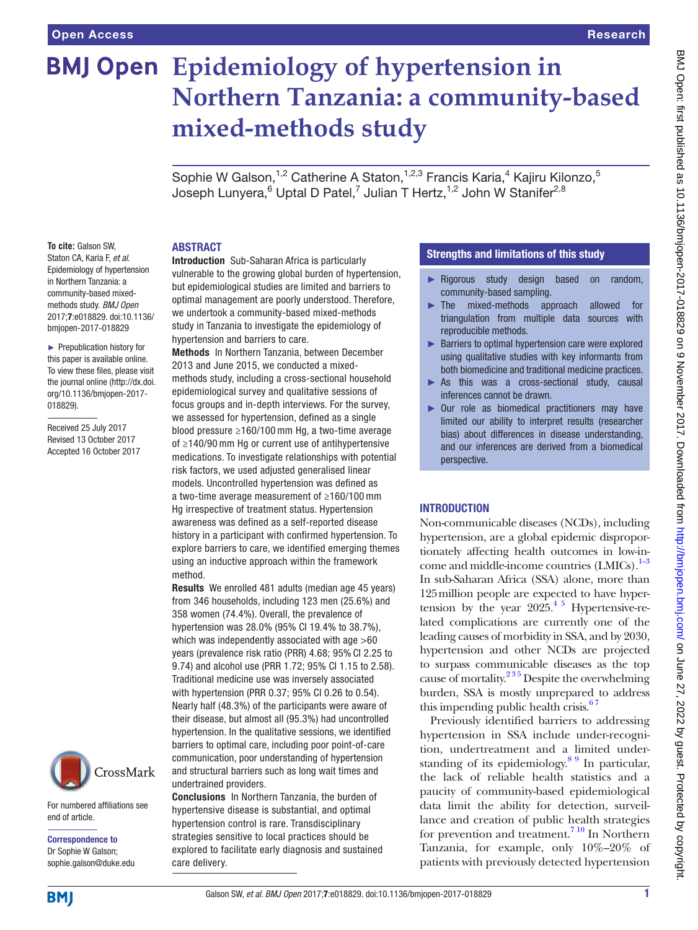# **BMJ Open** Epidemiology of hypertension in **Northern Tanzania: a community-based mixed-methods study**

Sophie W Galson,  $1,2$  Catherine A Staton,  $1,2,3$  Francis Karia,  $4$  Kajiru Kilonzo,  $5$ Joseph Lunyera, $^6$  Uptal D Patel, $^7$  Julian T Hertz, $^{1,2}$  John W Stanifer $^{2,8}$ 

#### **To cite:** Galson SW, Staton CA, Karia F, *et al*. Epidemiology of hypertension in Northern Tanzania: a community-based mixedmethods study. *BMJ Open* 2017;7:e018829. doi:10.1136/ bmjopen-2017-018829

► Prepublication history for this paper is available online. To view these files, please visit the journal online [\(http://dx.doi.](http://dx.doi.org/10.1136/bmjopen-2017-018829) [org/10.1136/bmjopen-2017-](http://dx.doi.org/10.1136/bmjopen-2017-018829) [018829\)](http://dx.doi.org/10.1136/bmjopen-2017-018829).

Received 25 July 2017 Revised 13 October 2017 Accepted 16 October 2017



For numbered affiliations see end of article.

Correspondence to Dr Sophie W Galson; sophie.galson@duke.edu

## **ABSTRACT**

Introduction Sub-Saharan Africa is particularly vulnerable to the growing global burden of hypertension, but epidemiological studies are limited and barriers to optimal management are poorly understood. Therefore, we undertook a community-based mixed-methods study in Tanzania to investigate the epidemiology of hypertension and barriers to care.

Methods In Northern Tanzania, between December 2013 and June 2015, we conducted a mixedmethods study, including a cross-sectional household epidemiological survey and qualitative sessions of focus groups and in-depth interviews. For the survey, we assessed for hypertension, defined as a single blood pressure ≥160/100 mm Hg, a two-time average of ≥140/90 mm Hg or current use of antihypertensive medications. To investigate relationships with potential risk factors, we used adjusted generalised linear models. Uncontrolled hypertension was defined as a two-time average measurement of ≥160/100 mm Hg irrespective of treatment status. Hypertension awareness was defined as a self-reported disease history in a participant with confirmed hypertension. To explore barriers to care, we identified emerging themes using an inductive approach within the framework method.

Results We enrolled 481 adults (median age 45 years) from 346 households, including 123 men (25.6%) and 358 women (74.4%). Overall, the prevalence of hypertension was 28.0% (95% CI 19.4% to 38.7%), which was independently associated with age >60 years (prevalence risk ratio (PRR) 4.68; 95% CI 2.25 to 9.74) and alcohol use (PRR 1.72; 95% CI 1.15 to 2.58). Traditional medicine use was inversely associated with hypertension (PRR 0.37; 95% CI 0.26 to 0.54). Nearly half (48.3%) of the participants were aware of their disease, but almost all (95.3%) had uncontrolled hypertension. In the qualitative sessions, we identified barriers to optimal care, including poor point-of-care communication, poor understanding of hypertension and structural barriers such as long wait times and undertrained providers.

Conclusions In Northern Tanzania, the burden of hypertensive disease is substantial, and optimal hypertension control is rare. Transdisciplinary strategies sensitive to local practices should be explored to facilitate early diagnosis and sustained care delivery.

#### Strengths and limitations of this study

- ► Rigorous study design based on random, community-based sampling.
- ► The mixed-methods approach allowed for triangulation from multiple data sources with reproducible methods.
- ► Barriers to optimal hypertension care were explored using qualitative studies with key informants from both biomedicine and traditional medicine practices.
- ► As this was a cross-sectional study, causal inferences cannot be drawn.
- Our role as biomedical practitioners may have limited our ability to interpret results (researcher bias) about differences in disease understanding, and our inferences are derived from a biomedical perspective.

## **INTRODUCTION**

Non-communicable diseases (NCDs), including hypertension, are a global epidemic disproportionately affecting health outcomes in low-income and middle-income countries  $(LMICs).<sup>1-3</sup>$ In sub-Saharan Africa (SSA) alone, more than 125million people are expected to have hypertension by the year  $2025.<sup>45</sup>$  Hypertensive-related complications are currently one of the leading causes of morbidity in SSA, and by 2030, hypertension and other NCDs are projected to surpass communicable diseases as the top cause of mortality. $235$  Despite the overwhelming burden, SSA is mostly unprepared to address this impending public health crisis. $67$ 

Previously identified barriers to addressing hypertension in SSA include under-recognition, undertreatment and a limited understanding of its epidemiology. $89$  In particular, the lack of reliable health statistics and a paucity of community-based epidemiological data limit the ability for detection, surveillance and creation of public health strategies for prevention and treatment.<sup>7 10</sup> In Northern Tanzania, for example, only 10%–20% of patients with previously detected hypertension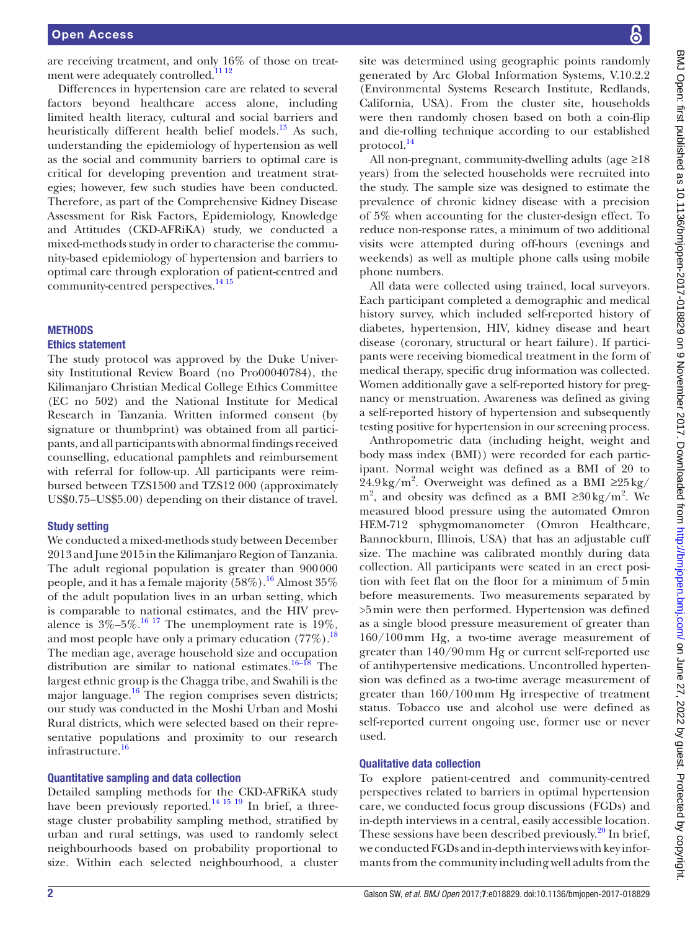are receiving treatment, and only 16% of those on treatment were adequately controlled.<sup>11 12</sup>

Differences in hypertension care are related to several factors beyond healthcare access alone, including limited health literacy, cultural and social barriers and heuristically different health belief models.<sup>[13](#page-8-7)</sup> As such, understanding the epidemiology of hypertension as well as the social and community barriers to optimal care is critical for developing prevention and treatment strategies; however, few such studies have been conducted. Therefore, as part of the Comprehensive Kidney Disease Assessment for Risk Factors, Epidemiology, Knowledge and Attitudes (CKD-AFRiKA) study, we conducted a mixed-methods study in order to characterise the community-based epidemiology of hypertension and barriers to optimal care through exploration of patient-centred and community-centred perspectives.<sup>[14 15](#page-8-8)</sup>

#### **METHODS** Ethics statement

The study protocol was approved by the Duke University Institutional Review Board (no Pro00040784), the Kilimanjaro Christian Medical College Ethics Committee (EC no 502) and the National Institute for Medical Research in Tanzania. Written informed consent (by signature or thumbprint) was obtained from all participants, and all participants with abnormal findings received counselling, educational pamphlets and reimbursement with referral for follow-up. All participants were reimbursed between TZS1500 and TZS12 000 (approximately US\$0.75–US\$5.00) depending on their distance of travel.

#### Study setting

We conducted a mixed-methods study between December 2013 and June 2015 in the Kilimanjaro Region of Tanzania. The adult regional population is greater than 900000 people, and it has a female majority  $(58\%)$ .<sup>16</sup> Almost  $35\%$ of the adult population lives in an urban setting, which is comparable to national estimates, and the HIV prevalence is  $3\% - 5\%$ .<sup>16 17</sup> The unemployment rate is 19%, and most people have only a primary education  $(77\%)$ .<sup>18</sup> The median age, average household size and occupation distribution are similar to national estimates.<sup>16–18</sup> The largest ethnic group is the Chagga tribe, and Swahili is the major language. $16$  The region comprises seven districts; our study was conducted in the Moshi Urban and Moshi Rural districts, which were selected based on their representative populations and proximity to our research infrastructure.<sup>16</sup>

#### Quantitative sampling and data collection

Detailed sampling methods for the CKD-AFRiKA study have been previously reported.<sup>14 15 19</sup> In brief, a threestage cluster probability sampling method, stratified by urban and rural settings, was used to randomly select neighbourhoods based on probability proportional to size. Within each selected neighbourhood, a cluster

site was determined using geographic points randomly generated by Arc Global Information Systems, V.10.2.2 (Environmental Systems Research Institute, Redlands, California, USA). From the cluster site, households were then randomly chosen based on both a coin-flip and die-rolling technique according to our established protocol.<sup>[14](#page-8-8)</sup>

All non-pregnant, community-dwelling adults (age ≥18 years) from the selected households were recruited into the study. The sample size was designed to estimate the prevalence of chronic kidney disease with a precision of 5% when accounting for the cluster-design effect. To reduce non-response rates, a minimum of two additional visits were attempted during off-hours (evenings and weekends) as well as multiple phone calls using mobile phone numbers.

All data were collected using trained, local surveyors. Each participant completed a demographic and medical history survey, which included self-reported history of diabetes, hypertension, HIV, kidney disease and heart disease (coronary, structural or heart failure). If participants were receiving biomedical treatment in the form of medical therapy, specific drug information was collected. Women additionally gave a self-reported history for pregnancy or menstruation. Awareness was defined as giving a self-reported history of hypertension and subsequently testing positive for hypertension in our screening process.

Anthropometric data (including height, weight and body mass index (BMI)) were recorded for each participant. Normal weight was defined as a BMI of 20 to  $24.9 \text{ kg/m}^2$ . Overweight was defined as a BMI ≥25 kg/ m<sup>2</sup>, and obesity was defined as a BMI ≥30 kg/m<sup>2</sup>. We measured blood pressure using the automated Omron HEM-712 sphygmomanometer (Omron Healthcare, Bannockburn, Illinois, USA) that has an adjustable cuff size. The machine was calibrated monthly during data collection. All participants were seated in an erect position with feet flat on the floor for a minimum of 5min before measurements. Two measurements separated by >5min were then performed. Hypertension was defined as a single blood pressure measurement of greater than 160/100mm Hg, a two-time average measurement of greater than 140/90mm Hg or current self-reported use of antihypertensive medications. Uncontrolled hypertension was defined as a two-time average measurement of greater than 160/100mm Hg irrespective of treatment status. Tobacco use and alcohol use were defined as self-reported current ongoing use, former use or never used.

#### Qualitative data collection

To explore patient-centred and community-centred perspectives related to barriers in optimal hypertension care, we conducted focus group discussions (FGDs) and in-depth interviews in a central, easily accessible location. These sessions have been described previously.<sup>20</sup> In brief, we conducted FGDs and in-depth interviews with key informants from the community including well adults from the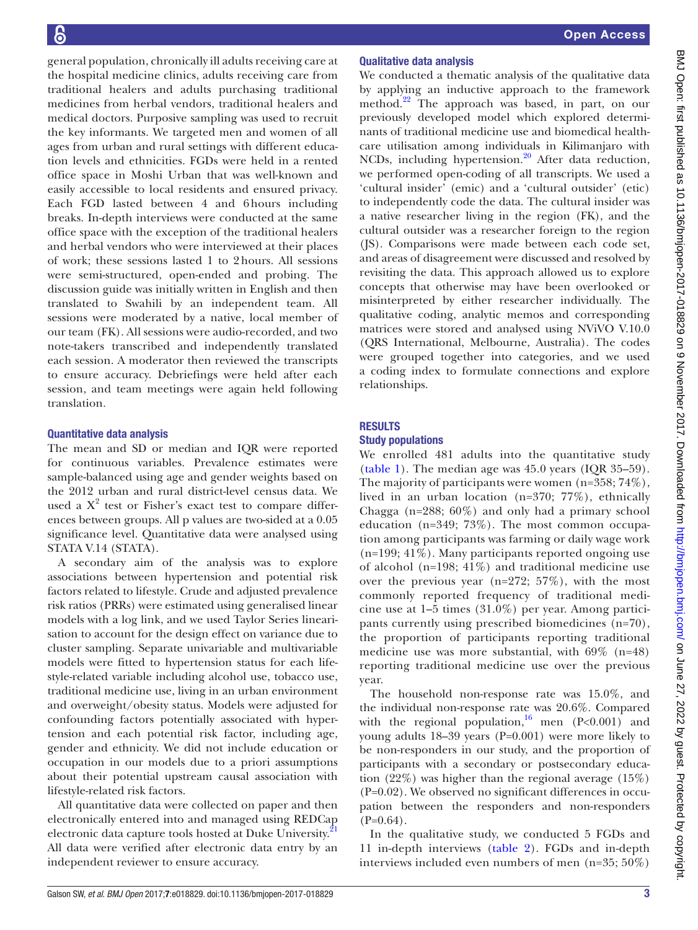general population, chronically ill adults receiving care at the hospital medicine clinics, adults receiving care from traditional healers and adults purchasing traditional medicines from herbal vendors, traditional healers and medical doctors. Purposive sampling was used to recruit the key informants. We targeted men and women of all ages from urban and rural settings with different education levels and ethnicities. FGDs were held in a rented office space in Moshi Urban that was well-known and easily accessible to local residents and ensured privacy. Each FGD lasted between 4 and 6hours including breaks. In-depth interviews were conducted at the same office space with the exception of the traditional healers and herbal vendors who were interviewed at their places of work; these sessions lasted 1 to 2hours. All sessions were semi-structured, open-ended and probing. The discussion guide was initially written in English and then translated to Swahili by an independent team. All sessions were moderated by a native, local member of our team (FK). All sessions were audio-recorded, and two note-takers transcribed and independently translated each session. A moderator then reviewed the transcripts to ensure accuracy. Debriefings were held after each session, and team meetings were again held following translation.

#### Quantitative data analysis

The mean and SD or median and IQR were reported for continuous variables. Prevalence estimates were sample-balanced using age and gender weights based on the 2012 urban and rural district-level census data. We used a  $X^2$  test or Fisher's exact test to compare differences between groups. All p values are two-sided at a 0.05 significance level. Quantitative data were analysed using STATA V.14 (STATA).

A secondary aim of the analysis was to explore associations between hypertension and potential risk factors related to lifestyle. Crude and adjusted prevalence risk ratios (PRRs) were estimated using generalised linear models with a log link, and we used Taylor Series linearisation to account for the design effect on variance due to cluster sampling. Separate univariable and multivariable models were fitted to hypertension status for each lifestyle-related variable including alcohol use, tobacco use, traditional medicine use, living in an urban environment and overweight/obesity status. Models were adjusted for confounding factors potentially associated with hypertension and each potential risk factor, including age, gender and ethnicity. We did not include education or occupation in our models due to a priori assumptions about their potential upstream causal association with lifestyle-related risk factors.

All quantitative data were collected on paper and then electronically entered into and managed using REDCap electronic data capture tools hosted at Duke University.<sup>21</sup> All data were verified after electronic data entry by an independent reviewer to ensure accuracy.

## Qualitative data analysis

We conducted a thematic analysis of the qualitative data by applying an inductive approach to the framework method. $^{22}$  The approach was based, in part, on our previously developed model which explored determinants of traditional medicine use and biomedical healthcare utilisation among individuals in Kilimanjaro with NCDs, including hypertension.<sup>20</sup> After data reduction, we performed open-coding of all transcripts. We used a 'cultural insider' (emic) and a 'cultural outsider' (etic) to independently code the data. The cultural insider was a native researcher living in the region (FK), and the cultural outsider was a researcher foreign to the region (JS). Comparisons were made between each code set, and areas of disagreement were discussed and resolved by revisiting the data. This approach allowed us to explore concepts that otherwise may have been overlooked or misinterpreted by either researcher individually. The qualitative coding, analytic memos and corresponding matrices were stored and analysed using NViVO V.10.0 (QRS International, Melbourne, Australia). The codes were grouped together into categories, and we used a coding index to formulate connections and explore relationships.

#### **RESULTS**

#### Study populations

We enrolled 481 adults into the quantitative study [\(table](#page-3-0) 1). The median age was 45.0 years (IQR 35–59). The majority of participants were women (n=358; 74%), lived in an urban location (n=370; 77%), ethnically Chagga (n=288;  $60\%$ ) and only had a primary school education (n=349; 73%). The most common occupation among participants was farming or daily wage work (n=199; 41%). Many participants reported ongoing use of alcohol (n=198; 41%) and traditional medicine use over the previous year  $(n=272; 57\%)$ , with the most commonly reported frequency of traditional medicine use at 1–5 times (31.0%) per year. Among participants currently using prescribed biomedicines (n=70), the proportion of participants reporting traditional medicine use was more substantial, with 69% (n=48) reporting traditional medicine use over the previous year.

The household non-response rate was 15.0%, and the individual non-response rate was 20.6%. Compared with the regional population,<sup>16</sup> men  $(P<0.001)$  and young adults 18–39 years (P=0.001) were more likely to be non-responders in our study, and the proportion of participants with a secondary or postsecondary education (22%) was higher than the regional average (15%) (P=0.02). We observed no significant differences in occupation between the responders and non-responders  $(P=0.64)$ .

In the qualitative study, we conducted 5 FGDs and 11 in-depth interviews [\(table](#page-4-0) 2). FGDs and in-depth interviews included even numbers of men (n=35; 50%)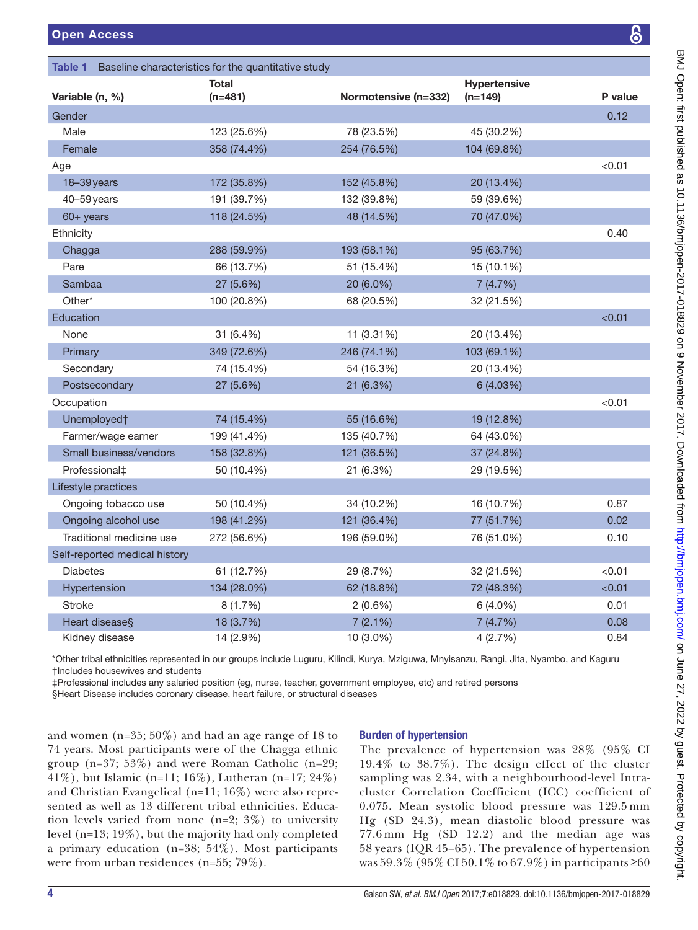<span id="page-3-0"></span>

| Variable (n, %)               | <b>Total</b><br>$(n=481)$ | Normotensive (n=332) | <b>Hypertensive</b><br>$(n=149)$ | P value |
|-------------------------------|---------------------------|----------------------|----------------------------------|---------|
| Gender                        |                           |                      |                                  | 0.12    |
| Male                          | 123 (25.6%)               | 78 (23.5%)           | 45 (30.2%)                       |         |
| Female                        | 358 (74.4%)               | 254 (76.5%)          | 104 (69.8%)                      |         |
| Age                           |                           |                      |                                  | < 0.01  |
| 18-39 years                   | 172 (35.8%)               | 152 (45.8%)          | 20 (13.4%)                       |         |
| 40-59 years                   | 191 (39.7%)               | 132 (39.8%)          | 59 (39.6%)                       |         |
| $60+$ years                   | 118 (24.5%)               | 48 (14.5%)           | 70 (47.0%)                       |         |
| Ethnicity                     |                           |                      |                                  | 0.40    |
| Chagga                        | 288 (59.9%)               | 193 (58.1%)          | 95 (63.7%)                       |         |
| Pare                          | 66 (13.7%)                | 51 (15.4%)           | 15 (10.1%)                       |         |
| Sambaa                        | 27 (5.6%)                 | 20 (6.0%)            | 7(4.7%)                          |         |
| Other*                        | 100 (20.8%)               | 68 (20.5%)           | 32 (21.5%)                       |         |
| Education                     |                           |                      |                                  | < 0.01  |
| None                          | 31 (6.4%)                 | 11 (3.31%)           | 20 (13.4%)                       |         |
| Primary                       | 349 (72.6%)               | 246 (74.1%)          | 103 (69.1%)                      |         |
| Secondary                     | 74 (15.4%)                | 54 (16.3%)           | 20 (13.4%)                       |         |
| Postsecondary                 | 27 (5.6%)                 | 21 (6.3%)            | 6 (4.03%)                        |         |
| Occupation                    |                           |                      |                                  | < 0.01  |
| Unemployed†                   | 74 (15.4%)                | 55 (16.6%)           | 19 (12.8%)                       |         |
| Farmer/wage earner            | 199 (41.4%)               | 135 (40.7%)          | 64 (43.0%)                       |         |
| Small business/vendors        | 158 (32.8%)               | 121 (36.5%)          | 37 (24.8%)                       |         |
| Professional‡                 | 50 (10.4%)                | 21 (6.3%)            | 29 (19.5%)                       |         |
| Lifestyle practices           |                           |                      |                                  |         |
| Ongoing tobacco use           | 50 (10.4%)                | 34 (10.2%)           | 16 (10.7%)                       | 0.87    |
| Ongoing alcohol use           | 198 (41.2%)               | 121 (36.4%)          | 77 (51.7%)                       | 0.02    |
| Traditional medicine use      | 272 (56.6%)               | 196 (59.0%)          | 76 (51.0%)                       | 0.10    |
| Self-reported medical history |                           |                      |                                  |         |
| <b>Diabetes</b>               | 61 (12.7%)                | 29 (8.7%)            | 32 (21.5%)                       | < 0.01  |
| Hypertension                  | 134 (28.0%)               | 62 (18.8%)           | 72 (48.3%)                       | < 0.01  |
| <b>Stroke</b>                 | 8(1.7%)                   | $2(0.6\%)$           | $6(4.0\%)$                       | 0.01    |
| Heart disease§                | 18 (3.7%)                 | 7(2.1%)              | 7(4.7%)                          | 0.08    |
| Kidney disease                | 14 (2.9%)                 | 10 (3.0%)            | 4(2.7%)                          | 0.84    |

†Includes housewives and students

‡Professional includes any salaried position (eg, nurse, teacher, government employee, etc) and retired persons

§Heart Disease includes coronary disease, heart failure, or structural diseases

and women (n=35; 50%) and had an age range of 18 to 74 years. Most participants were of the Chagga ethnic group (n=37; 53%) and were Roman Catholic (n=29; 41%), but Islamic (n=11; 16%), Lutheran (n=17; 24%) and Christian Evangelical (n=11; 16%) were also represented as well as 13 different tribal ethnicities. Education levels varied from none  $(n=2; 3\%)$  to university level (n=13; 19%), but the majority had only completed a primary education (n=38; 54%). Most participants were from urban residences (n=55; 79%).

#### Burden of hypertension

The prevalence of hypertension was 28% (95% CI  $19.4\%$  to  $38.7\%$ ). The design effect of the cluster sampling was 2.34, with a neighbourhood-level Intracluster Correlation Coefficient (ICC) coefficient of 0.075. Mean systolic blood pressure was 129.5 mm Hg (SD 24.3), mean diastolic blood pressure was 77.6 mm Hg (SD 12.2) and the median age was 58 years (IQR 45–65). The prevalence of hypertension was 59.3% (95% CI 50.1% to 67.9%) in participants ≥60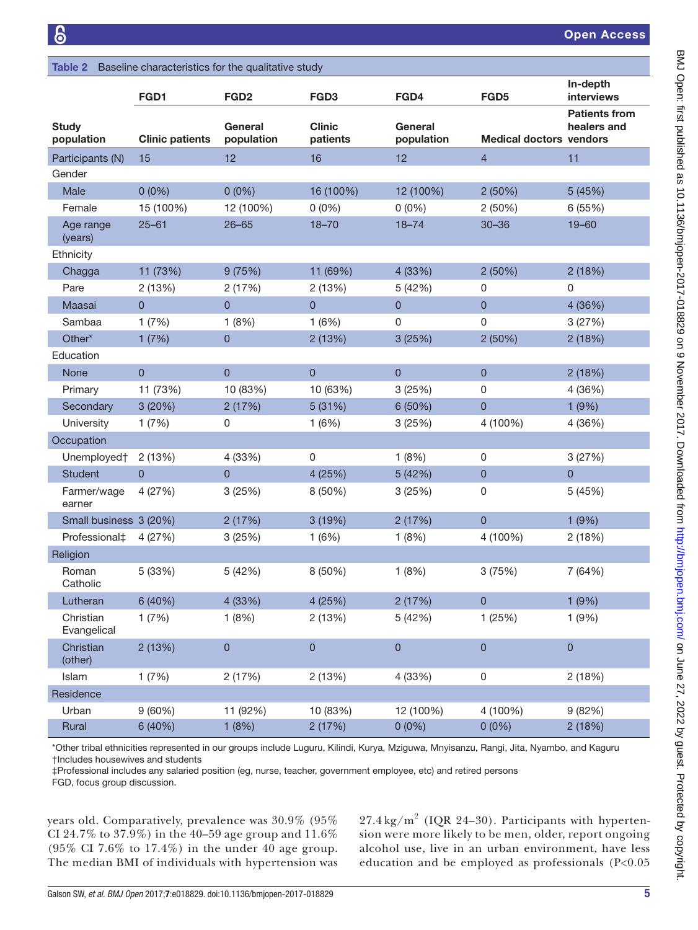<span id="page-4-0"></span>

| Baseline characteristics for the qualitative study<br>Table 2 |                        |                              |                           |                       |                                |                                     |
|---------------------------------------------------------------|------------------------|------------------------------|---------------------------|-----------------------|--------------------------------|-------------------------------------|
|                                                               | FGD1                   | FGD <sub>2</sub>             | FGD <sub>3</sub>          | FGD4                  | FGD5                           | In-depth<br>interviews              |
| <b>Study</b><br>population                                    | <b>Clinic patients</b> | <b>General</b><br>population | <b>Clinic</b><br>patients | General<br>population | <b>Medical doctors vendors</b> | <b>Patients from</b><br>healers and |
| Participants (N)                                              | 15                     | 12                           | 16                        | 12                    | $\overline{4}$                 | 11                                  |
| Gender                                                        |                        |                              |                           |                       |                                |                                     |
| Male                                                          | $0(0\%)$               | $0(0\%)$                     | 16 (100%)                 | 12 (100%)             | 2(50%)                         | 5(45%)                              |
| Female                                                        | 15 (100%)              | 12 (100%)                    | $0(0\%)$                  | $0(0\%)$              | 2(50%)                         | 6 (55%)                             |
| Age range<br>(years)                                          | $25 - 61$              | $26 - 65$                    | $18 - 70$                 | $18 - 74$             | $30 - 36$                      | $19 - 60$                           |
| Ethnicity                                                     |                        |                              |                           |                       |                                |                                     |
| Chagga                                                        | 11 (73%)               | 9(75%)                       | 11 (69%)                  | 4 (33%)               | 2(50%)                         | 2(18%)                              |
| Pare                                                          | 2(13%)                 | 2(17%)                       | 2(13%)                    | 5 (42%)               | 0                              | 0                                   |
| Maasai                                                        | $\overline{0}$         | $\mathbf 0$                  | $\overline{0}$            | $\mathbf{0}$          | 0                              | 4 (36%)                             |
| Sambaa                                                        | 1(7%)                  | 1(8%)                        | 1(6%)                     | 0                     | 0                              | 3(27%)                              |
| Other*                                                        | 1(7%)                  | $\mathbf 0$                  | 2(13%)                    | 3(25%)                | 2(50%)                         | 2(18%)                              |
| Education                                                     |                        |                              |                           |                       |                                |                                     |
| None                                                          | $\pmb{0}$              | $\pmb{0}$                    | $\pmb{0}$                 | $\pmb{0}$             | $\mathbf 0$                    | 2(18%)                              |
| Primary                                                       | 11 (73%)               | 10 (83%)                     | 10 (63%)                  | 3(25%)                | 0                              | 4 (36%)                             |
| Secondary                                                     | 3(20%)                 | 2(17%)                       | 5(31%)                    | 6 (50%)               | $\mathbf 0$                    | 1(9%)                               |
| University                                                    | 1(7%)                  | 0                            | 1(6%)                     | 3(25%)                | 4 (100%)                       | 4 (36%)                             |
| Occupation                                                    |                        |                              |                           |                       |                                |                                     |
| Unemployed <sup>+</sup>                                       | 2(13%)                 | 4 (33%)                      | 0                         | 1(8%)                 | 0                              | 3(27%)                              |
| <b>Student</b>                                                | $\mathbf{0}$           | $\overline{0}$               | 4 (25%)                   | 5 (42%)               | $\mathbf 0$                    | $\overline{0}$                      |
| Farmer/wage<br>earner                                         | 4 (27%)                | 3(25%)                       | $8(50\%)$                 | 3(25%)                | 0                              | 5 (45%)                             |
| Small business 3 (20%)                                        |                        | 2(17%)                       | 3(19%)                    | 2(17%)                | $\overline{0}$                 | 1(9%)                               |
| Professional‡                                                 | 4 (27%)                | 3(25%)                       | 1(6%)                     | 1(8%)                 | 4 (100%)                       | 2(18%)                              |
| Religion                                                      |                        |                              |                           |                       |                                |                                     |
| Roman<br>Catholic                                             | 5 (33%)                | 5 (42%)                      | 8 (50%)                   | 1(8%)                 | 3(75%)                         | 7 (64%)                             |
| Lutheran                                                      | 6 (40%)                | 4 (33%)                      | 4 (25%)                   | 2(17%)                | $\pmb{0}$                      | 1(9%)                               |
| Christian<br>Evangelical                                      | 1(7%)                  | 1(8%)                        | 2(13%)                    | 5 (42%)               | 1(25%)                         | 1(9%)                               |
| Christian<br>(other)                                          | 2(13%)                 | $\overline{0}$               | 0                         | $\pmb{0}$             | $\pmb{0}$                      | $\mathsf{O}\xspace$                 |
| Islam                                                         | 1(7%)                  | 2(17%)                       | 2(13%)                    | 4 (33%)               | $\boldsymbol{0}$               | 2(18%)                              |
| Residence                                                     |                        |                              |                           |                       |                                |                                     |
| Urban                                                         | 9(60%)                 | 11 (92%)                     | 10 (83%)                  | 12 (100%)             | 4 (100%)                       | 9(82%)                              |
| Rural                                                         | 6 (40%)                | 1(8%)                        | 2(17%)                    | $0(0\%)$              | $0(0\%)$                       | 2(18%)                              |

\*Other tribal ethnicities represented in our groups include Luguru, Kilindi, Kurya, Mziguwa, Mnyisanzu, Rangi, Jita, Nyambo, and Kaguru †Includes housewives and students

‡Professional includes any salaried position (eg, nurse, teacher, government employee, etc) and retired persons

FGD, focus group discussion.

years old. Comparatively, prevalence was 30.9% (95% CI 24.7% to 37.9%) in the 40–59 age group and 11.6% (95% CI 7.6% to 17.4%) in the under 40 age group. The median BMI of individuals with hypertension was

 $27.4 \text{ kg/m}^2$  (IQR 24-30). Participants with hypertension were more likely to be men, older, report ongoing alcohol use, live in an urban environment, have less education and be employed as professionals (P<0.05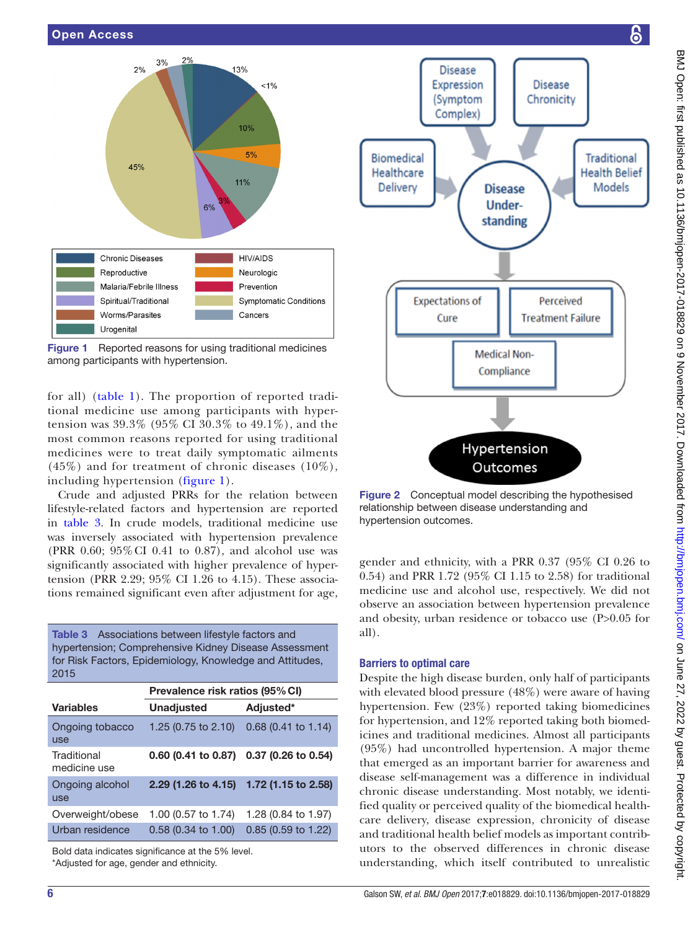

<span id="page-5-0"></span>Figure 1 Reported reasons for using traditional medicines among participants with hypertension.

for all) ([table](#page-3-0) 1). The proportion of reported traditional medicine use among participants with hypertension was 39.3% (95% CI 30.3% to 49.1%), and the most common reasons reported for using traditional medicines were to treat daily symptomatic ailments (45%) and for treatment of chronic diseases (10%), including hypertension ([figure](#page-5-0) 1).

Crude and adjusted PRRs for the relation between lifestyle-related factors and hypertension are reported in [table](#page-5-1) 3. In crude models, traditional medicine use was inversely associated with hypertension prevalence (PRR 0.60; 95%CI 0.41 to 0.87), and alcohol use was significantly associated with higher prevalence of hypertension (PRR 2.29; 95% CI 1.26 to 4.15). These associations remained significant even after adjustment for age,

<span id="page-5-1"></span>Table 3 Associations between lifestyle factors and hypertension; Comprehensive Kidney Disease Assessment for Risk Factors, Epidemiology, Knowledge and Attitudes, 2015

|                             | Prevalence risk ratios (95% CI) |                       |  |
|-----------------------------|---------------------------------|-----------------------|--|
| <b>Variables</b>            | <b>Unadjusted</b>               | Adjusted*             |  |
| Ongoing tobacco<br>use      | 1.25 (0.75 to 2.10)             | $0.68$ (0.41 to 1.14) |  |
| Traditional<br>medicine use | $0.60$ (0.41 to 0.87)           | $0.37$ (0.26 to 0.54) |  |
| Ongoing alcohol<br>use      | 2.29 (1.26 to 4.15)             | 1.72 (1.15 to 2.58)   |  |
| Overweight/obese            | 1.00 (0.57 to 1.74)             | 1.28 (0.84 to 1.97)   |  |
| Urban residence             | $0.58$ (0.34 to 1.00)           | 0.85 (0.59 to 1.22)   |  |

Bold data indicates significance at the 5% level. \*Adjusted for age, gender and ethnicity.



<span id="page-5-2"></span>Figure 2 Conceptual model describing the hypothesised relationship between disease understanding and hypertension outcomes.

gender and ethnicity, with a PRR 0.37 (95% CI 0.26 to 0.54) and PRR 1.72 (95% CI 1.15 to 2.58) for traditional medicine use and alcohol use, respectively. We did not observe an association between hypertension prevalence and obesity, urban residence or tobacco use (P>0.05 for all).

#### Barriers to optimal care

Despite the high disease burden, only half of participants with elevated blood pressure (48%) were aware of having hypertension. Few (23%) reported taking biomedicines for hypertension, and 12% reported taking both biomedicines and traditional medicines. Almost all participants (95%) had uncontrolled hypertension. A major theme that emerged as an important barrier for awareness and disease self-management was a difference in individual chronic disease understanding. Most notably, we identified quality or perceived quality of the biomedical healthcare delivery, disease expression, chronicity of disease and traditional health belief models as important contributors to the observed differences in chronic disease understanding, which itself contributed to unrealistic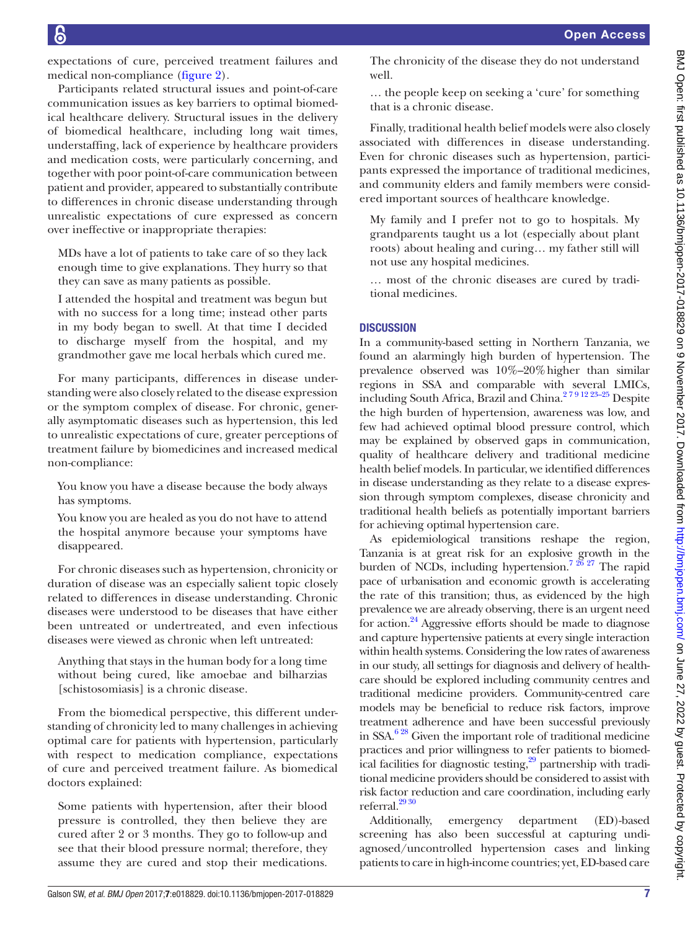expectations of cure, perceived treatment failures and medical non-compliance [\(figure](#page-5-2) 2).

Participants related structural issues and point-of-care communication issues as key barriers to optimal biomedical healthcare delivery. Structural issues in the delivery of biomedical healthcare, including long wait times, understaffing, lack of experience by healthcare providers and medication costs, were particularly concerning, and together with poor point-of-care communication between patient and provider, appeared to substantially contribute to differences in chronic disease understanding through unrealistic expectations of cure expressed as concern over ineffective or inappropriate therapies:

MDs have a lot of patients to take care of so they lack enough time to give explanations. They hurry so that they can save as many patients as possible.

I attended the hospital and treatment was begun but with no success for a long time; instead other parts in my body began to swell. At that time I decided to discharge myself from the hospital, and my grandmother gave me local herbals which cured me.

For many participants, differences in disease understanding were also closely related to the disease expression or the symptom complex of disease. For chronic, generally asymptomatic diseases such as hypertension, this led to unrealistic expectations of cure, greater perceptions of treatment failure by biomedicines and increased medical non-compliance:

- You know you have a disease because the body always has symptoms.
- You know you are healed as you do not have to attend the hospital anymore because your symptoms have disappeared.

For chronic diseases such as hypertension, chronicity or duration of disease was an especially salient topic closely related to differences in disease understanding. Chronic diseases were understood to be diseases that have either been untreated or undertreated, and even infectious diseases were viewed as chronic when left untreated:

Anything that stays in the human body for a long time without being cured, like amoebae and bilharzias [schistosomiasis] is a chronic disease.

From the biomedical perspective, this different understanding of chronicity led to many challenges in achieving optimal care for patients with hypertension, particularly with respect to medication compliance, expectations of cure and perceived treatment failure. As biomedical doctors explained:

Some patients with hypertension, after their blood pressure is controlled, they then believe they are cured after 2 or 3 months. They go to follow-up and see that their blood pressure normal; therefore, they assume they are cured and stop their medications.

The chronicity of the disease they do not understand well.

… the people keep on seeking a 'cure' for something that is a chronic disease.

Finally, traditional health belief models were also closely associated with differences in disease understanding. Even for chronic diseases such as hypertension, participants expressed the importance of traditional medicines, and community elders and family members were considered important sources of healthcare knowledge.

My family and I prefer not to go to hospitals. My grandparents taught us a lot (especially about plant roots) about healing and curing… my father still will not use any hospital medicines.

… most of the chronic diseases are cured by traditional medicines.

# **DISCUSSION**

In a community-based setting in Northern Tanzania, we found an alarmingly high burden of hypertension. The prevalence observed was 10%–20%higher than similar regions in SSA and comparable with several LMICs, including South Africa, Brazil and China.[2 7 9 12 23–25](#page-8-2) Despite the high burden of hypertension, awareness was low, and few had achieved optimal blood pressure control, which may be explained by observed gaps in communication, quality of healthcare delivery and traditional medicine health belief models. In particular, we identified differences in disease understanding as they relate to a disease expression through symptom complexes, disease chronicity and traditional health beliefs as potentially important barriers for achieving optimal hypertension care.

As epidemiological transitions reshape the region, Tanzania is at great risk for an explosive growth in the burden of NCDs, including hypertension.[7 26 27](#page-8-5) The rapid pace of urbanisation and economic growth is accelerating the rate of this transition; thus, as evidenced by the high prevalence we are already observing, there is an urgent need for action.<sup>24</sup> Aggressive efforts should be made to diagnose and capture hypertensive patients at every single interaction within health systems. Considering the low rates of awareness in our study, all settings for diagnosis and delivery of healthcare should be explored including community centres and traditional medicine providers. Community-centred care models may be beneficial to reduce risk factors, improve treatment adherence and have been successful previously in  $SSA<sup>628</sup>$  Given the important role of traditional medicine practices and prior willingness to refer patients to biomedical facilities for diagnostic testing, $29$  partnership with traditional medicine providers should be considered to assist with risk factor reduction and care coordination, including early referral. $29\,30$ 

Additionally, emergency department (ED)-based screening has also been successful at capturing undiagnosed/uncontrolled hypertension cases and linking patients to care in high-income countries; yet, ED-based care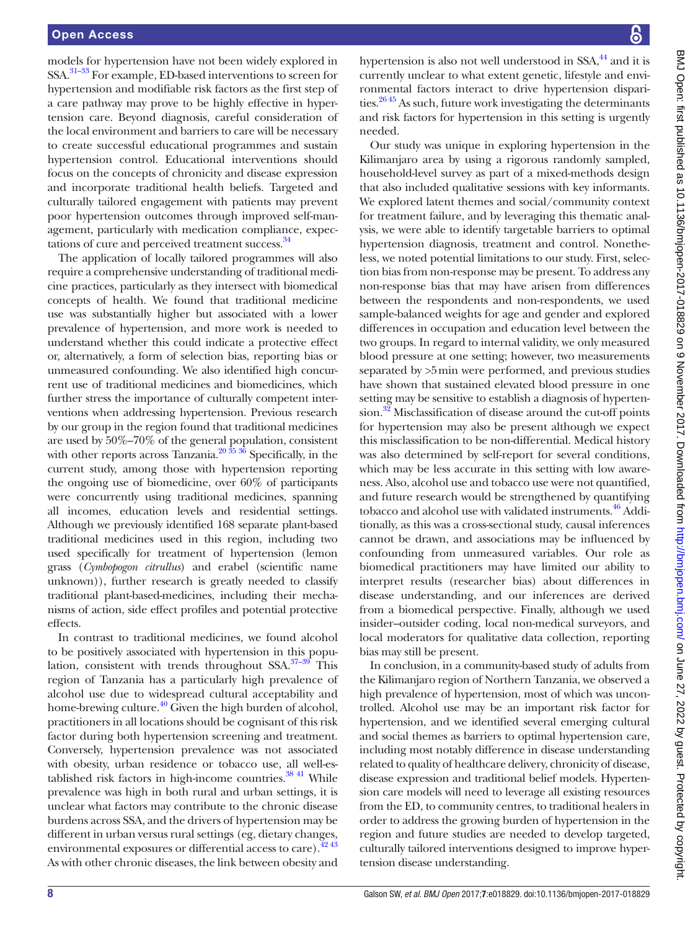models for hypertension have not been widely explored in SSA.<sup>31–33</sup> For example, ED-based interventions to screen for hypertension and modifiable risk factors as the first step of a care pathway may prove to be highly effective in hypertension care. Beyond diagnosis, careful consideration of the local environment and barriers to care will be necessary to create successful educational programmes and sustain hypertension control. Educational interventions should focus on the concepts of chronicity and disease expression and incorporate traditional health beliefs. Targeted and culturally tailored engagement with patients may prevent poor hypertension outcomes through improved self-management, particularly with medication compliance, expectations of cure and perceived treatment success.<sup>34</sup>

The application of locally tailored programmes will also require a comprehensive understanding of traditional medicine practices, particularly as they intersect with biomedical concepts of health. We found that traditional medicine use was substantially higher but associated with a lower prevalence of hypertension, and more work is needed to understand whether this could indicate a protective effect or, alternatively, a form of selection bias, reporting bias or unmeasured confounding. We also identified high concurrent use of traditional medicines and biomedicines, which further stress the importance of culturally competent interventions when addressing hypertension. Previous research by our group in the region found that traditional medicines are used by 50%–70% of the general population, consistent with other reports across Tanzania.<sup>20 35 36</sup> Specifically, in the current study, among those with hypertension reporting the ongoing use of biomedicine, over 60% of participants were concurrently using traditional medicines, spanning all incomes, education levels and residential settings. Although we previously identified 168 separate plant-based traditional medicines used in this region, including two used specifically for treatment of hypertension (lemon grass (*Cymbopogon citrullus*) and erabel (scientific name unknown)), further research is greatly needed to classify traditional plant-based-medicines, including their mechanisms of action, side effect profiles and potential protective effects.

In contrast to traditional medicines, we found alcohol to be positively associated with hypertension in this population, consistent with trends throughout  $SSA.<sup>37-39</sup>$  This region of Tanzania has a particularly high prevalence of alcohol use due to widespread cultural acceptability and home-brewing culture.<sup>40</sup> Given the high burden of alcohol, practitioners in all locations should be cognisant of this risk factor during both hypertension screening and treatment. Conversely, hypertension prevalence was not associated with obesity, urban residence or tobacco use, all well-established risk factors in high-income countries. $3841$  While prevalence was high in both rural and urban settings, it is unclear what factors may contribute to the chronic disease burdens across SSA, and the drivers of hypertension may be different in urban versus rural settings (eg, dietary changes, environmental exposures or differential access to care). $4243$ As with other chronic diseases, the link between obesity and

hypertension is also not well understood in  $SSA$ <sup>[44](#page-9-7)</sup> and it is currently unclear to what extent genetic, lifestyle and environmental factors interact to drive hypertension disparities.<sup>2645</sup> As such, future work investigating the determinants and risk factors for hypertension in this setting is urgently needed.

Our study was unique in exploring hypertension in the Kilimanjaro area by using a rigorous randomly sampled, household-level survey as part of a mixed-methods design that also included qualitative sessions with key informants. We explored latent themes and social/community context for treatment failure, and by leveraging this thematic analysis, we were able to identify targetable barriers to optimal hypertension diagnosis, treatment and control. Nonetheless, we noted potential limitations to our study. First, selection bias from non-response may be present. To address any non-response bias that may have arisen from differences between the respondents and non-respondents, we used sample-balanced weights for age and gender and explored differences in occupation and education level between the two groups. In regard to internal validity, we only measured blood pressure at one setting; however, two measurements separated by >5min were performed, and previous studies have shown that sustained elevated blood pressure in one setting may be sensitive to establish a diagnosis of hyperten-sion.<sup>[32](#page-9-8)</sup> Misclassification of disease around the cut-off points for hypertension may also be present although we expect this misclassification to be non-differential. Medical history was also determined by self-report for several conditions, which may be less accurate in this setting with low awareness. Also, alcohol use and tobacco use were not quantified, and future research would be strengthened by quantifying tobacco and alcohol use with validated instruments.<sup>46</sup> Additionally, as this was a cross-sectional study, causal inferences cannot be drawn, and associations may be influenced by confounding from unmeasured variables. Our role as biomedical practitioners may have limited our ability to interpret results (researcher bias) about differences in disease understanding, and our inferences are derived from a biomedical perspective. Finally, although we used insider–outsider coding, local non-medical surveyors, and local moderators for qualitative data collection, reporting bias may still be present.

In conclusion, in a community-based study of adults from the Kilimanjaro region of Northern Tanzania, we observed a high prevalence of hypertension, most of which was uncontrolled. Alcohol use may be an important risk factor for hypertension, and we identified several emerging cultural and social themes as barriers to optimal hypertension care, including most notably difference in disease understanding related to quality of healthcare delivery, chronicity of disease, disease expression and traditional belief models. Hypertension care models will need to leverage all existing resources from the ED, to community centres, to traditional healers in order to address the growing burden of hypertension in the region and future studies are needed to develop targeted, culturally tailored interventions designed to improve hypertension disease understanding.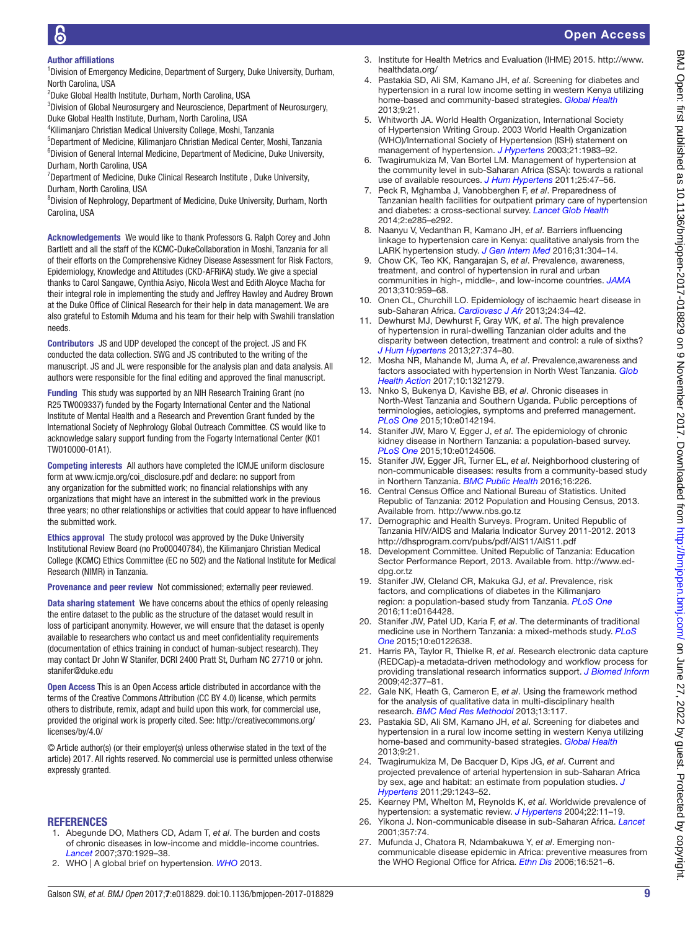# Open Access

#### Author affiliations

<sup>1</sup> Division of Emergency Medicine, Department of Surgery, Duke University, Durham, North Carolina, USA

2 Duke Global Health Institute, Durham, North Carolina, USA

<sup>3</sup>Division of Global Neurosurgery and Neuroscience, Department of Neurosurgery, Duke Global Health Institute, Durham, North Carolina, USA

4 Kilimanjaro Christian Medical University College, Moshi, Tanzania

5 Department of Medicine, Kilimanjaro Christian Medical Center, Moshi, Tanzania <sup>6</sup>Division of General Internal Medicine, Department of Medicine, Duke University, Durham, North Carolina, USA

<sup>7</sup>Department of Medicine, Duke Clinical Research Institute, Duke University, Durham, North Carolina, USA

8 Division of Nephrology, Department of Medicine, Duke University, Durham, North Carolina, USA

Acknowledgements We would like to thank Professors G. Ralph Corey and John Bartlett and all the staff of the KCMC-DukeCollaboration in Moshi, Tanzania for all of their efforts on the Comprehensive Kidney Disease Assessment for Risk Factors, Epidemiology, Knowledge and Attitudes (CKD-AFRiKA) study. We give a special thanks to Carol Sangawe, Cynthia Asiyo, Nicola West and Edith Aloyce Macha for their integral role in implementing the study and Jeffrey Hawley and Audrey Brown at the Duke Office of Clinical Research for their help in data management. We are also grateful to Estomih Mduma and his team for their help with Swahili translation needs.

Contributors JS and UDP developed the concept of the project. JS and FK conducted the data collection. SWG and JS contributed to the writing of the manuscript. JS and JL were responsible for the analysis plan and data analysis. All authors were responsible for the final editing and approved the final manuscript.

Funding This study was supported by an NIH Research Training Grant (no R25 TW009337) funded by the Fogarty International Center and the National Institute of Mental Health and a Research and Prevention Grant funded by the International Society of Nephrology Global Outreach Committee. CS would like to acknowledge salary support funding from the Fogarty International Center (K01 TW010000-01A1).

Competing interests All authors have completed the ICMJE uniform disclosure form at www.icmje.org/coi\_disclosure.pdf and declare: no support from any organization for the submitted work; no financial relationships with any organizations that might have an interest in the submitted work in the previous three years; no other relationships or activities that could appear to have influenced the submitted work.

Ethics approval The study protocol was approved by the Duke University Institutional Review Board (no Pro00040784), the Kilimanjaro Christian Medical College (KCMC) Ethics Committee (EC no 502) and the National Institute for Medical Research (NIMR) in Tanzania.

Provenance and peer review Not commissioned; externally peer reviewed.

Data sharing statement We have concerns about the ethics of openly releasing the entire dataset to the public as the structure of the dataset would result in loss of participant anonymity. However, we will ensure that the dataset is openly available to researchers who contact us and meet confidentiality requirements (documentation of ethics training in conduct of human-subject research). They may contact Dr John W Stanifer, DCRI 2400 Pratt St, Durham NC 27710 or john. stanifer@duke.edu

Open Access This is an Open Access article distributed in accordance with the terms of the Creative Commons Attribution (CC BY 4.0) license, which permits others to distribute, remix, adapt and build upon this work, for commercial use, provided the original work is properly cited. See: [http://creativecommons.org/](http://creativecommons.org/licenses/by/4.0/) [licenses/by/4.0/](http://creativecommons.org/licenses/by/4.0/)

© Article author(s) (or their employer(s) unless otherwise stated in the text of the article) 2017. All rights reserved. No commercial use is permitted unless otherwise expressly granted.

## **REFERENCES**

- <span id="page-8-0"></span>1. Abegunde DO, Mathers CD, Adam T, *et al*. The burden and costs of chronic diseases in low-income and middle-income countries. *[Lancet](http://dx.doi.org/10.1016/S0140-6736(07)61696-1)* 2007;370:1929–38.
- <span id="page-8-2"></span>2. WHO | A global brief on hypertension. *WHO* 2013.
- 3. Institute for Health Metrics and Evaluation (IHME) 2015. [http://www.](http://www.healthdata.org/) [healthdata.org/](http://www.healthdata.org/)
- <span id="page-8-1"></span>4. Pastakia SD, Ali SM, Kamano JH, *et al*. Screening for diabetes and hypertension in a rural low income setting in western Kenya utilizing home-based and community-based strategies. *[Global Health](http://dx.doi.org/10.1186/1744-8603-9-21)* 2013;9:21.
- 5. Whitworth JA. World Health Organization, International Society of Hypertension Writing Group. 2003 World Health Organization (WHO)/International Society of Hypertension (ISH) statement on management of hypertension. *[J Hypertens](http://dx.doi.org/10.1097/01.hjh.0000084751.37215.d2)* 2003;21:1983–92.
- <span id="page-8-3"></span>6. Twagirumukiza M, Van Bortel LM. Management of hypertension at the community level in sub-Saharan Africa (SSA): towards a rational use of available resources. *[J Hum Hypertens](http://dx.doi.org/10.1038/jhh.2010.32)* 2011;25:47–56.
- <span id="page-8-5"></span>7. Peck R, Mghamba J, Vanobberghen F, *et al*. Preparedness of Tanzanian health facilities for outpatient primary care of hypertension and diabetes: a cross-sectional survey. *[Lancet Glob Health](http://dx.doi.org/10.1016/S2214-109X(14)70033-6)* 2014;2:e285–e292.
- <span id="page-8-4"></span>8. Naanyu V, Vedanthan R, Kamano JH, *et al*. Barriers influencing linkage to hypertension care in Kenya: qualitative analysis from the LARK hypertension study. *[J Gen Intern Med](http://dx.doi.org/10.1007/s11606-015-3566-1)* 2016;31:304–14.
- 9. Chow CK, Teo KK, Rangarajan S, *et al*. Prevalence, awareness, treatment, and control of hypertension in rural and urban communities in high-, middle-, and low-income countries. *[JAMA](http://dx.doi.org/10.1001/jama.2013.184182)* 2013;310:959–68.
- 10. Onen CL, Churchill LO. Epidemiology of ischaemic heart disease in sub-Saharan Africa. *[Cardiovasc J Afr](http://dx.doi.org/10.5830/CVJA-2012-071)* 2013;24:34–42.
- <span id="page-8-6"></span>11. Dewhurst MJ, Dewhurst F, Gray WK, *et al*. The high prevalence of hypertension in rural-dwelling Tanzanian older adults and the disparity between detection, treatment and control: a rule of sixths? *[J Hum Hypertens](http://dx.doi.org/10.1038/jhh.2012.59)* 2013;27:374–80.
- 12. Mosha NR, Mahande M, Juma A, *et al*. Prevalence,awareness and factors associated with hypertension in North West Tanzania. *[Glob](http://dx.doi.org/10.1080/16549716.2017.1321279)  [Health Action](http://dx.doi.org/10.1080/16549716.2017.1321279)* 2017;10:1321279.
- <span id="page-8-7"></span>13. Nnko S, Bukenya D, Kavishe BB, *et al*. Chronic diseases in North-West Tanzania and Southern Uganda. Public perceptions of terminologies, aetiologies, symptoms and preferred management. *[PLoS One](http://dx.doi.org/10.1371/journal.pone.0142194)* 2015;10:e0142194.
- <span id="page-8-8"></span>14. Stanifer JW, Maro V, Egger J, *et al*. The epidemiology of chronic kidney disease in Northern Tanzania: a population-based survey. *[PLoS One](http://dx.doi.org/10.1371/journal.pone.0124506)* 2015;10:e0124506.
- 15. Stanifer JW, Egger JR, Turner EL, *et al*. Neighborhood clustering of non-communicable diseases: results from a community-based study in Northern Tanzania. *[BMC Public Health](http://dx.doi.org/10.1186/s12889-016-2912-5)* 2016;16:226.
- <span id="page-8-9"></span>16. Central Census Office and National Bureau of Statistics. United Republic of Tanzania: 2012 Population and Housing Census, 2013. Available from.<http://www.nbs.go.tz>
- 17. Demographic and Health Surveys. Program. United Republic of Tanzania HIV/AIDS and Malaria Indicator Survey 2011-2012. 2013 <http://dhsprogram.com/pubs/pdf/AIS11/AIS11.pdf>
- <span id="page-8-10"></span>18. Development Committee. United Republic of Tanzania: Education Sector Performance Report, 2013. Available from. [http://www.ed](http://www.ed-dpg.or.tz)[dpg.or.tz](http://www.ed-dpg.or.tz)
- 19. Stanifer JW, Cleland CR, Makuka GJ, *et al*. Prevalence, risk factors, and complications of diabetes in the Kilimanjaro region: a population-based study from Tanzania. *[PLoS One](http://dx.doi.org/10.1371/journal.pone.0164428)* 2016;11:e0164428.
- <span id="page-8-11"></span>20. Stanifer JW, Patel UD, Karia F, *et al*. The determinants of traditional medicine use in Northern Tanzania: a mixed-methods study. *[PLoS](http://dx.doi.org/10.1371/journal.pone.0122638)  [One](http://dx.doi.org/10.1371/journal.pone.0122638)* 2015;10:e0122638.
- <span id="page-8-12"></span>21. Harris PA, Taylor R, Thielke R, *et al*. Research electronic data capture (REDCap)-a metadata-driven methodology and workflow process for providing translational research informatics support. *[J Biomed Inform](http://dx.doi.org/10.1016/j.jbi.2008.08.010)* 2009;42:377–81.
- <span id="page-8-13"></span>22. Gale NK, Heath G, Cameron E, *et al*. Using the framework method for the analysis of qualitative data in multi-disciplinary health research. *[BMC Med Res Methodol](http://dx.doi.org/10.1186/1471-2288-13-117)* 2013;13:117.
- 23. Pastakia SD, Ali SM, Kamano JH, *et al*. Screening for diabetes and hypertension in a rural low income setting in western Kenya utilizing home-based and community-based strategies. *[Global Health](http://dx.doi.org/10.1186/1744-8603-9-21)* 2013;9:21.
- <span id="page-8-14"></span>24. Twagirumukiza M, De Bacquer D, Kips JG, *et al*. Current and projected prevalence of arterial hypertension in sub-Saharan Africa by sex, age and habitat: an estimate from population studies. *[J](http://dx.doi.org/10.1097/HJH.0b013e328346995d)  [Hypertens](http://dx.doi.org/10.1097/HJH.0b013e328346995d)* 2011;29:1243–52.
- 25. Kearney PM, Whelton M, Reynolds K, *et al*. Worldwide prevalence of hypertension: a systematic review. *J Hypertens* 2004;22:11–19.
- <span id="page-8-15"></span>26. Yikona J. Non-communicable disease in sub-Saharan Africa. *[Lancet](http://dx.doi.org/10.1016/S0140-6736(05)71579-8)* 2001;357:74.
- 27. Mufunda J, Chatora R, Ndambakuwa Y, *et al*. Emerging noncommunicable disease epidemic in Africa: preventive measures from the WHO Regional Office for Africa. *Ethn Dis* 2006;16:521–6.